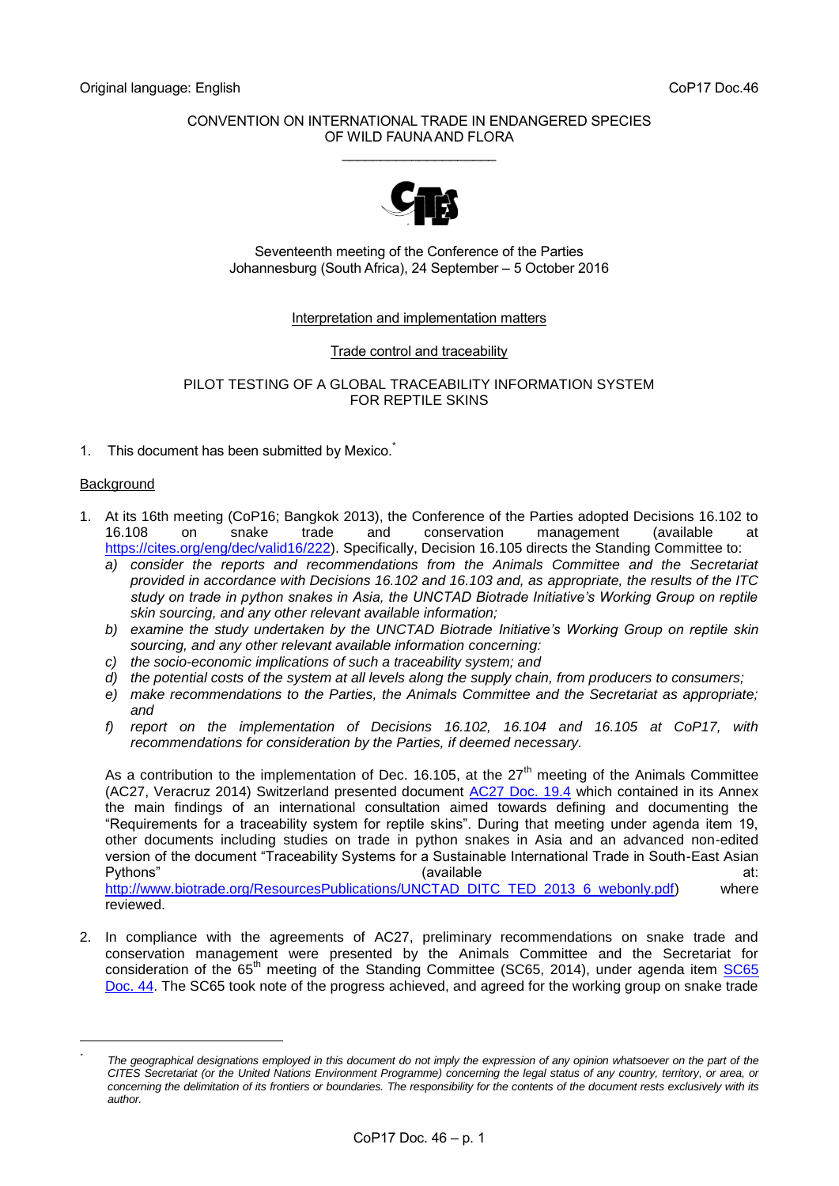# CONVENTION ON INTERNATIONAL TRADE IN ENDANGERED SPECIES OF WILD FAUNA AND FLORA \_\_\_\_\_\_\_\_\_\_\_\_\_\_\_\_\_\_\_\_



Seventeenth meeting of the Conference of the Parties Johannesburg (South Africa), 24 September – 5 October 2016

## Interpretation and implementation matters

## Trade control and traceability

## PILOT TESTING OF A GLOBAL TRACEABILITY INFORMATION SYSTEM FOR REPTILE SKINS

1. This document has been submitted by Mexico.

## **Background**

-

- 1. At its 16th meeting (CoP16; Bangkok 2013), the Conference of the Parties adopted Decisions 16.102 to 16.108 on snake trade and conservation management (available at [https://cites.org/eng/dec/valid16/222\)](https://cites.org/eng/dec/valid16/222). Specifically, Decision 16.105 directs the Standing Committee to:
	- *a) consider the reports and recommendations from the Animals Committee and the Secretariat provided in accordance with Decisions 16.102 and 16.103 and, as appropriate, the results of the ITC study on trade in python snakes in Asia, the UNCTAD Biotrade Initiative's Working Group on reptile skin sourcing, and any other relevant available information;*
	- *b) examine the study undertaken by the UNCTAD Biotrade Initiative's Working Group on reptile skin sourcing, and any other relevant available information concerning:*
	- *c) the socio-economic implications of such a traceability system; and*
	- *d) the potential costs of the system at all levels along the supply chain, from producers to consumers;*
	- *e) make recommendations to the Parties, the Animals Committee and the Secretariat as appropriate; and*
	- *f) report on the implementation of Decisions 16.102, 16.104 and 16.105 at CoP17, with recommendations for consideration by the Parties, if deemed necessary.*

As a contribution to the implementation of Dec. 16.105, at the  $27<sup>th</sup>$  meeting of the Animals Committee (AC27, Veracruz 2014) Switzerland presented document [AC27 Doc. 19.4](https://cites.org/sites/default/files/eng/com/ac/27/E-AC27-19-04.pdf) which contained in its Annex the main findings of an international consultation aimed towards defining and documenting the "Requirements for a traceability system for reptile skins". During that meeting under agenda item 19, other documents including studies on trade in python snakes in Asia and an advanced non-edited version of the document "Traceability Systems for a Sustainable International Trade in South-East Asian Pythons" (available at:

[http://www.biotrade.org/ResourcesPublications/UNCTAD\\_DITC\\_TED\\_2013\\_6\\_webonly.pdf\)](http://www.biotrade.org/ResourcesPublications/UNCTAD_DITC_TED_2013_6_webonly.pdf) where reviewed.

2. In compliance with the agreements of AC27, preliminary recommendations on snake trade and conservation management were presented by the Animals Committee and the Secretariat for consideration of the  $65<sup>th</sup>$  meeting of the Standing Committee (SC65, 2014), under agenda item  $SC65$ [Doc. 44.](https://cites.org/sites/default/files/eng/com/sc/65/E-SC65-44_0.pdf) The SC65 took note of the progress achieved, and agreed for the working group on snake trade

*<sup>\*</sup> The geographical designations employed in this document do not imply the expression of any opinion whatsoever on the part of the CITES Secretariat (or the United Nations Environment Programme) concerning the legal status of any country, territory, or area, or concerning the delimitation of its frontiers or boundaries. The responsibility for the contents of the document rests exclusively with its author.*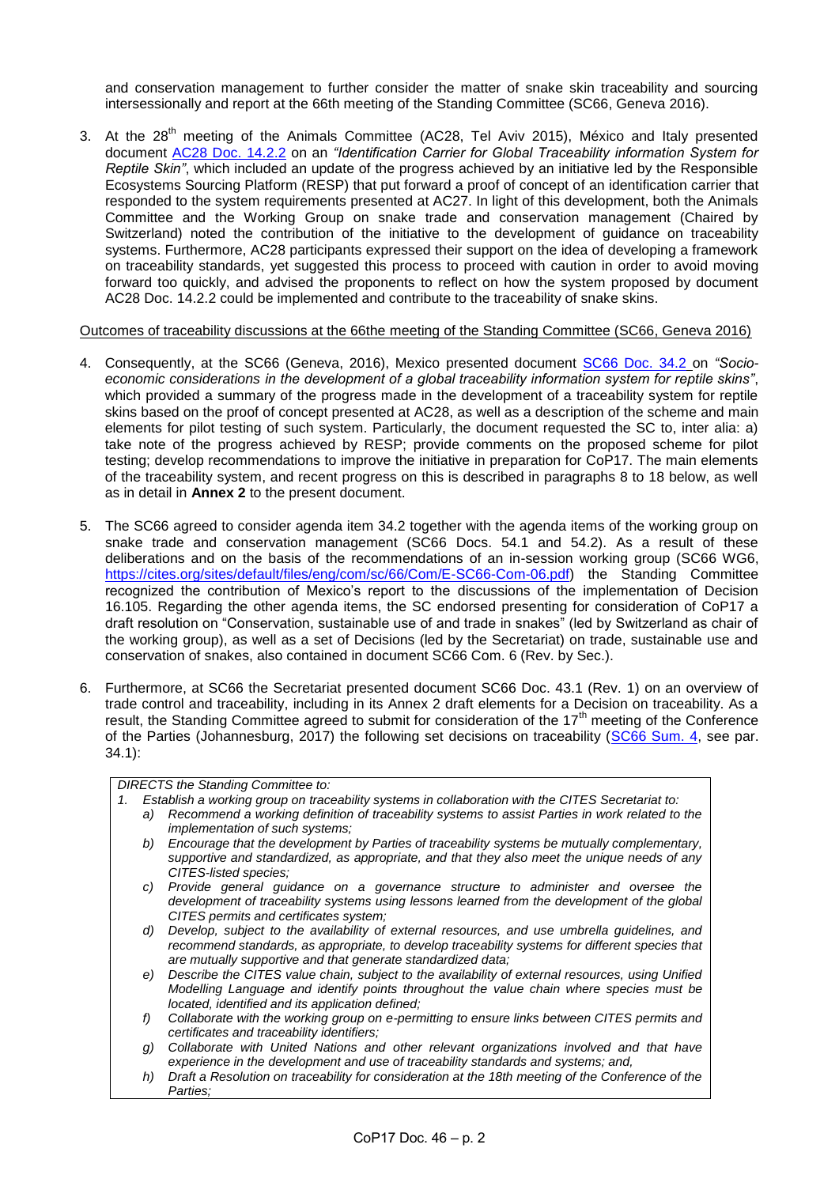and conservation management to further consider the matter of snake skin traceability and sourcing intersessionally and report at the 66th meeting of the Standing Committee (SC66, Geneva 2016).

3. At the 28<sup>th</sup> meeting of the Animals Committee (AC28, Tel Aviv 2015), México and Italy presented document [AC28 Doc. 14.2.2](https://cites.org/sites/default/files/eng/com/ac/28/E-AC28-14-02-02Rev.pdf) on an *"Identification Carrier for Global Traceability information System for Reptile Skin"*, which included an update of the progress achieved by an initiative led by the Responsible Ecosystems Sourcing Platform (RESP) that put forward a proof of concept of an identification carrier that responded to the system requirements presented at AC27. In light of this development, both the Animals Committee and the Working Group on snake trade and conservation management (Chaired by Switzerland) noted the contribution of the initiative to the development of guidance on traceability systems. Furthermore, AC28 participants expressed their support on the idea of developing a framework on traceability standards, yet suggested this process to proceed with caution in order to avoid moving forward too quickly, and advised the proponents to reflect on how the system proposed by document AC28 Doc. 14.2.2 could be implemented and contribute to the traceability of snake skins.

### Outcomes of traceability discussions at the 66the meeting of the Standing Committee (SC66, Geneva 2016)

- 4. Consequently, at the SC66 (Geneva, 2016), Mexico presented document [SC66 Doc. 34.2](https://cites.org/sites/default/files/eng/com/sc/66/E-SC66-34-02.pdf) on *"Socioeconomic considerations in the development of a global traceability information system for reptile skins"*, which provided a summary of the progress made in the development of a traceability system for reptile skins based on the proof of concept presented at AC28, as well as a description of the scheme and main elements for pilot testing of such system. Particularly, the document requested the SC to, inter alia: a) take note of the progress achieved by RESP; provide comments on the proposed scheme for pilot testing; develop recommendations to improve the initiative in preparation for CoP17. The main elements of the traceability system, and recent progress on this is described in paragraphs 8 to 18 below, as well as in detail in **Annex 2** to the present document.
- 5. The SC66 agreed to consider agenda item 34.2 together with the agenda items of the working group on snake trade and conservation management (SC66 Docs. 54.1 and 54.2). As a result of these deliberations and on the basis of the recommendations of an in-session working group (SC66 WG6, [https://cites.org/sites/default/files/eng/com/sc/66/Com/E-SC66-Com-06.pdf\)](https://cites.org/sites/default/files/eng/com/sc/66/Com/E-SC66-Com-06.pdf) the Standing Committee recognized the contribution of Mexico's report to the discussions of the implementation of Decision 16.105. Regarding the other agenda items, the SC endorsed presenting for consideration of CoP17 a draft resolution on "Conservation, sustainable use of and trade in snakes" (led by Switzerland as chair of the working group), as well as a set of Decisions (led by the Secretariat) on trade, sustainable use and conservation of snakes, also contained in document SC66 Com. 6 (Rev. by Sec.).
- 6. Furthermore, at SC66 the Secretariat presented document SC66 Doc. 43.1 (Rev. 1) on an overview of trade control and traceability, including in its Annex 2 draft elements for a Decision on traceability. As a result, the Standing Committee agreed to submit for consideration of the 17<sup>th</sup> meeting of the Conference of the Parties (Johannesburg, 2017) the following set decisions on traceability [\(SC66 Sum. 4,](https://cites.org/sites/default/files/eng/com/sc/66/ExSum/E-SC66-Sum-04.pdf) see par. 34.1):

# *DIRECTS the Standing Committee to:*

- *1. Establish a working group on traceability systems in collaboration with the CITES Secretariat to:*
	- *a) Recommend a working definition of traceability systems to assist Parties in work related to the implementation of such systems;*
	- *b) Encourage that the development by Parties of traceability systems be mutually complementary, supportive and standardized, as appropriate, and that they also meet the unique needs of any CITES-listed species;*
	- *c) Provide general guidance on a governance structure to administer and oversee the development of traceability systems using lessons learned from the development of the global CITES permits and certificates system;*
	- *d) Develop, subject to the availability of external resources, and use umbrella guidelines, and recommend standards, as appropriate, to develop traceability systems for different species that are mutually supportive and that generate standardized data;*
	- *e) Describe the CITES value chain, subject to the availability of external resources, using Unified Modelling Language and identify points throughout the value chain where species must be located, identified and its application defined;*
	- *f) Collaborate with the working group on e-permitting to ensure links between CITES permits and certificates and traceability identifiers;*
	- *g) Collaborate with United Nations and other relevant organizations involved and that have experience in the development and use of traceability standards and systems; and,*
	- *h) Draft a Resolution on traceability for consideration at the 18th meeting of the Conference of the Parties;*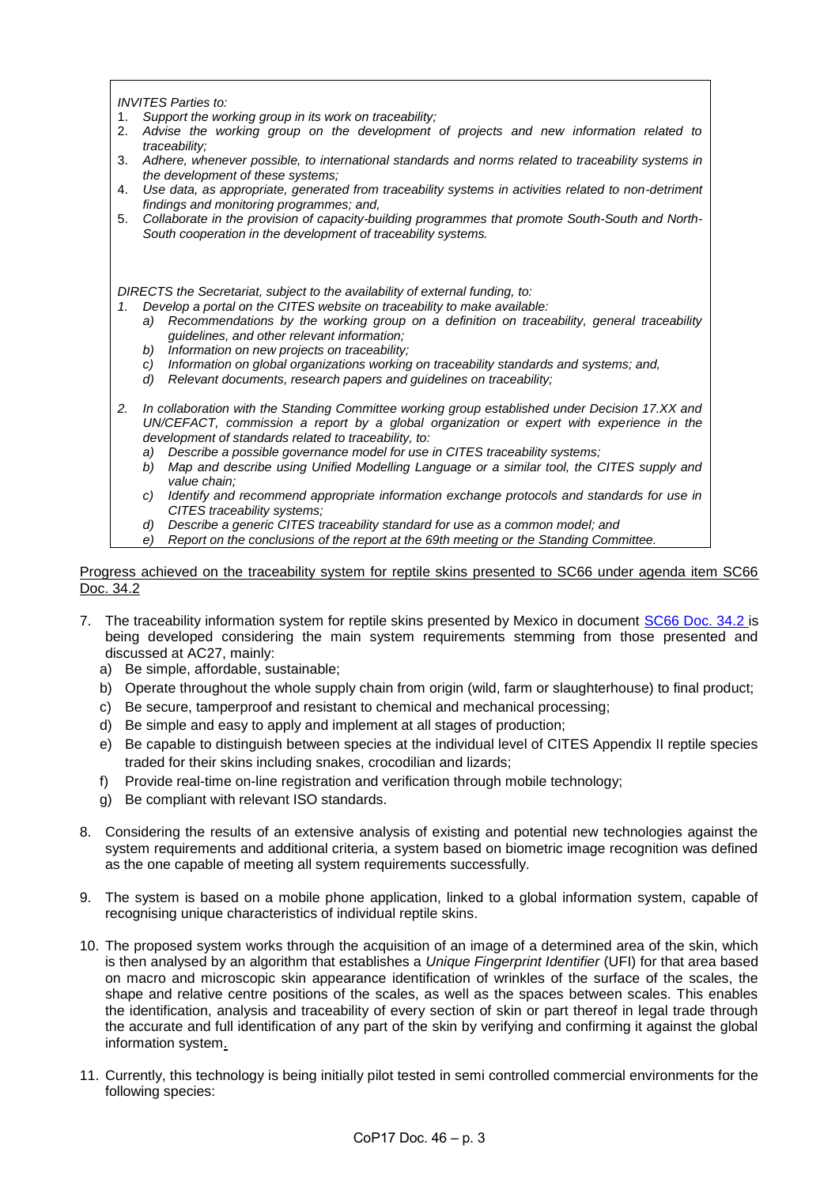*INVITES Parties to:*

- 1. *Support the working group in its work on traceability;*
- 2. *Advise the working group on the development of projects and new information related to traceability;*
- 3. *Adhere, whenever possible, to international standards and norms related to traceability systems in the development of these systems;*
- 4. *Use data, as appropriate, generated from traceability systems in activities related to non-detriment findings and monitoring programmes; and,*
- 5. *Collaborate in the provision of capacity-building programmes that promote South-South and North-South cooperation in the development of traceability systems.*

*DIRECTS the Secretariat, subject to the availability of external funding, to:*

- *1. Develop a portal on the CITES website on traceability to make available:*
	- *a) Recommendations by the working group on a definition on traceability, general traceability guidelines, and other relevant information;*
	- *b) Information on new projects on traceability;*
	- *c) Information on global organizations working on traceability standards and systems; and,*
	- *d) Relevant documents, research papers and guidelines on traceability;*
- *2. In collaboration with the Standing Committee working group established under Decision 17.XX and UN/CEFACT, commission a report by a global organization or expert with experience in the development of standards related to traceability, to:*
	- *a) Describe a possible governance model for use in CITES traceability systems;*
	- *b) Map and describe using Unified Modelling Language or a similar tool, the CITES supply and value chain;*
	- *c) Identify and recommend appropriate information exchange protocols and standards for use in CITES traceability systems;*
	- *d) Describe a generic CITES traceability standard for use as a common model; and*
	- *e) Report on the conclusions of the report at the 69th meeting or the Standing Committee.*

### Progress achieved on the traceability system for reptile skins presented to SC66 under agenda item SC66 Doc. 34.2

- 7. The traceability information system for reptile skins presented by Mexico in document [SC66 Doc. 34.2](https://cites.org/sites/default/files/eng/com/sc/66/E-SC66-34-02.pdf) is being developed considering the main system requirements stemming from those presented and discussed at AC27, mainly:
	- a) Be simple, affordable, sustainable;
	- b) Operate throughout the whole supply chain from origin (wild, farm or slaughterhouse) to final product;
	- c) Be secure, tamperproof and resistant to chemical and mechanical processing;
	- d) Be simple and easy to apply and implement at all stages of production;
	- e) Be capable to distinguish between species at the individual level of CITES Appendix II reptile species traded for their skins including snakes, crocodilian and lizards;
	- f) Provide real-time on-line registration and verification through mobile technology;
	- g) Be compliant with relevant ISO standards.
- 8. Considering the results of an extensive analysis of existing and potential new technologies against the system requirements and additional criteria, a system based on biometric image recognition was defined as the one capable of meeting all system requirements successfully.
- 9. The system is based on a mobile phone application, linked to a global information system, capable of recognising unique characteristics of individual reptile skins.
- 10. The proposed system works through the acquisition of an image of a determined area of the skin, which is then analysed by an algorithm that establishes a *Unique Fingerprint Identifier* (UFI) for that area based on macro and microscopic skin appearance identification of wrinkles of the surface of the scales, the shape and relative centre positions of the scales, as well as the spaces between scales. This enables the identification, analysis and traceability of every section of skin or part thereof in legal trade through the accurate and full identification of any part of the skin by verifying and confirming it against the global information system.
- 11. Currently, this technology is being initially pilot tested in semi controlled commercial environments for the following species: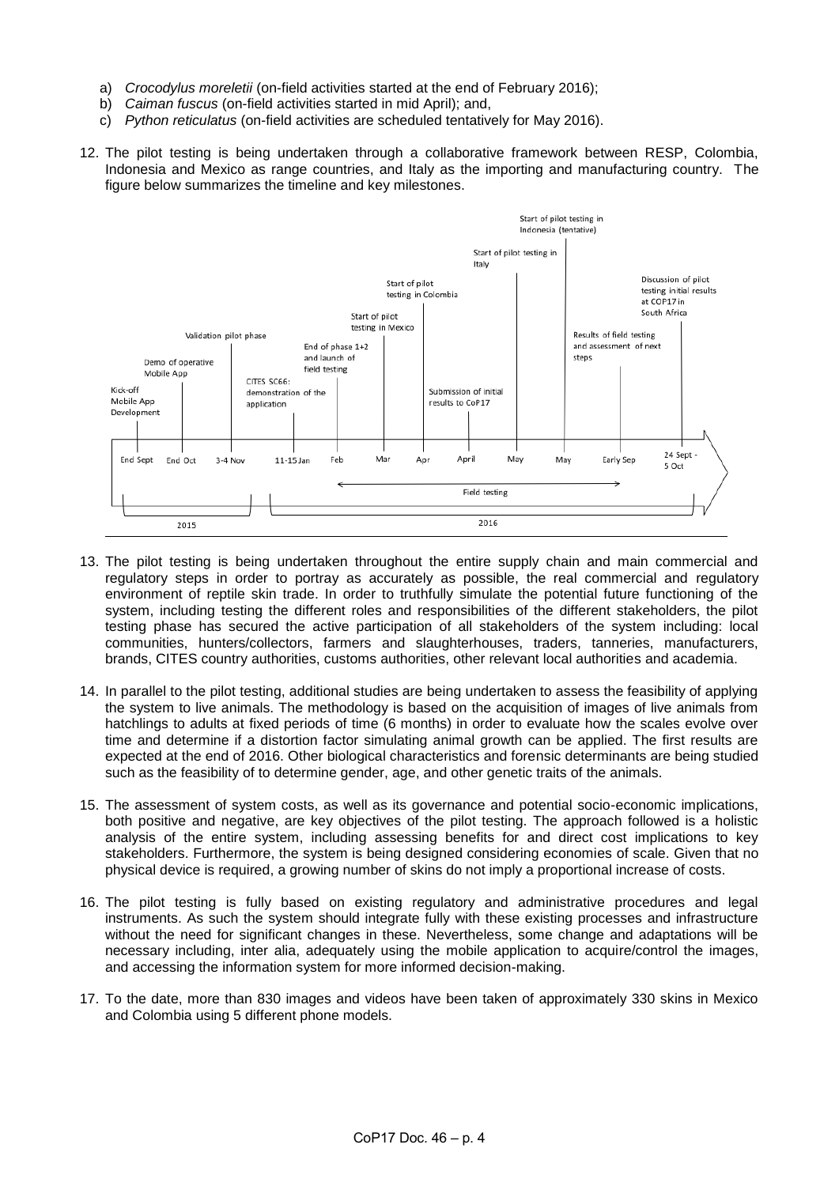- a) *Crocodylus moreletii* (on-field activities started at the end of February 2016);
- b) *Caiman fuscus* (on-field activities started in mid April); and,
- c) *Python reticulatus* (on-field activities are scheduled tentatively for May 2016).
- 12. The pilot testing is being undertaken through a collaborative framework between RESP, Colombia, Indonesia and Mexico as range countries, and Italy as the importing and manufacturing country. The figure below summarizes the timeline and key milestones.



- 13. The pilot testing is being undertaken throughout the entire supply chain and main commercial and regulatory steps in order to portray as accurately as possible, the real commercial and regulatory environment of reptile skin trade. In order to truthfully simulate the potential future functioning of the system, including testing the different roles and responsibilities of the different stakeholders, the pilot testing phase has secured the active participation of all stakeholders of the system including: local communities, hunters/collectors, farmers and slaughterhouses, traders, tanneries, manufacturers, brands, CITES country authorities, customs authorities, other relevant local authorities and academia.
- 14. In parallel to the pilot testing, additional studies are being undertaken to assess the feasibility of applying the system to live animals. The methodology is based on the acquisition of images of live animals from hatchlings to adults at fixed periods of time (6 months) in order to evaluate how the scales evolve over time and determine if a distortion factor simulating animal growth can be applied. The first results are expected at the end of 2016. Other biological characteristics and forensic determinants are being studied such as the feasibility of to determine gender, age, and other genetic traits of the animals.
- 15. The assessment of system costs, as well as its governance and potential socio-economic implications, both positive and negative, are key objectives of the pilot testing. The approach followed is a holistic analysis of the entire system, including assessing benefits for and direct cost implications to key stakeholders. Furthermore, the system is being designed considering economies of scale. Given that no physical device is required, a growing number of skins do not imply a proportional increase of costs.
- 16. The pilot testing is fully based on existing regulatory and administrative procedures and legal instruments. As such the system should integrate fully with these existing processes and infrastructure without the need for significant changes in these. Nevertheless, some change and adaptations will be necessary including, inter alia, adequately using the mobile application to acquire/control the images, and accessing the information system for more informed decision-making.
- 17. To the date, more than 830 images and videos have been taken of approximately 330 skins in Mexico and Colombia using 5 different phone models.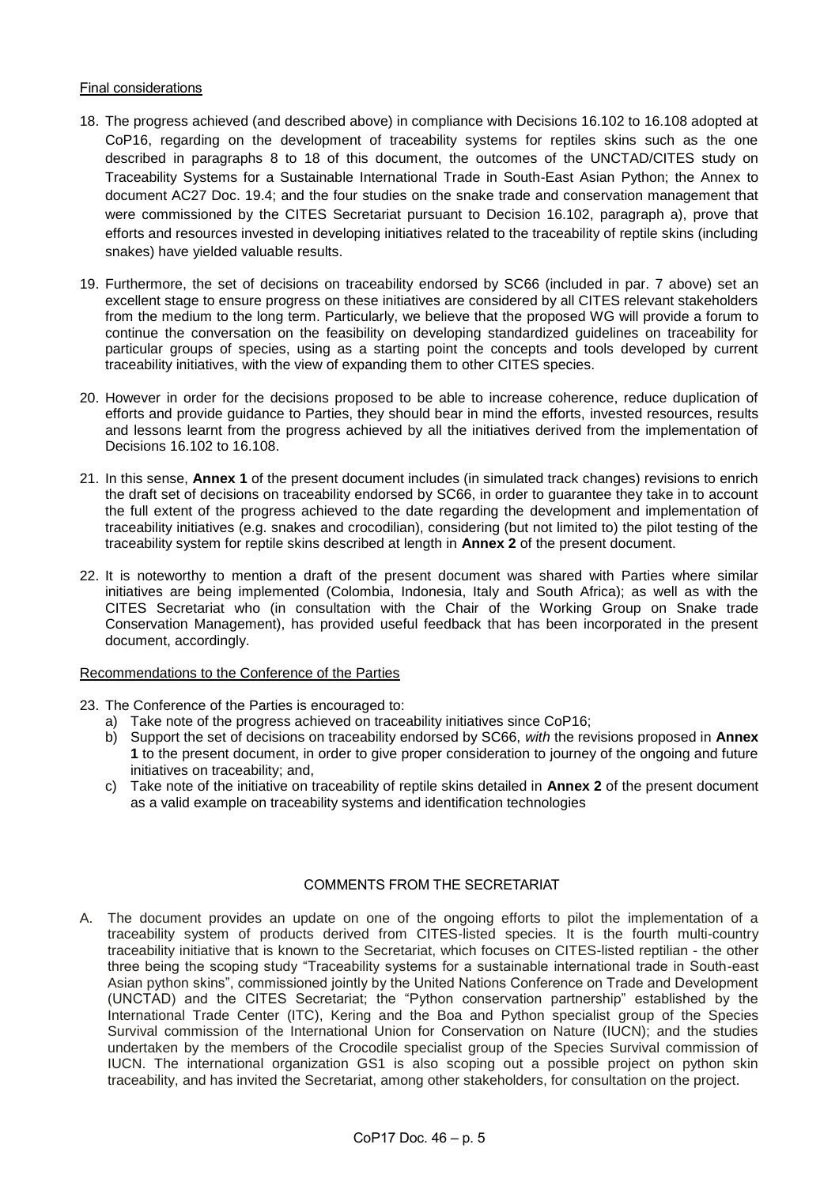## Final considerations

- 18. The progress achieved (and described above) in compliance with Decisions 16.102 to 16.108 adopted at CoP16, regarding on the development of traceability systems for reptiles skins such as the one described in paragraphs 8 to 18 of this document, the outcomes of the UNCTAD/CITES study on Traceability Systems for a Sustainable International Trade in South-East Asian Python; the Annex to document AC27 Doc. 19.4; and the four studies on the snake trade and conservation management that were commissioned by the CITES Secretariat pursuant to Decision 16.102, paragraph a), prove that efforts and resources invested in developing initiatives related to the traceability of reptile skins (including snakes) have yielded valuable results.
- 19. Furthermore, the set of decisions on traceability endorsed by SC66 (included in par. 7 above) set an excellent stage to ensure progress on these initiatives are considered by all CITES relevant stakeholders from the medium to the long term. Particularly, we believe that the proposed WG will provide a forum to continue the conversation on the feasibility on developing standardized guidelines on traceability for particular groups of species, using as a starting point the concepts and tools developed by current traceability initiatives, with the view of expanding them to other CITES species.
- 20. However in order for the decisions proposed to be able to increase coherence, reduce duplication of efforts and provide guidance to Parties, they should bear in mind the efforts, invested resources, results and lessons learnt from the progress achieved by all the initiatives derived from the implementation of Decisions 16.102 to 16.108.
- 21. In this sense, **Annex 1** of the present document includes (in simulated track changes) revisions to enrich the draft set of decisions on traceability endorsed by SC66, in order to guarantee they take in to account the full extent of the progress achieved to the date regarding the development and implementation of traceability initiatives (e.g. snakes and crocodilian), considering (but not limited to) the pilot testing of the traceability system for reptile skins described at length in **Annex 2** of the present document.
- 22. It is noteworthy to mention a draft of the present document was shared with Parties where similar initiatives are being implemented (Colombia, Indonesia, Italy and South Africa); as well as with the CITES Secretariat who (in consultation with the Chair of the Working Group on Snake trade Conservation Management), has provided useful feedback that has been incorporated in the present document, accordingly.

# Recommendations to the Conference of the Parties

- 23. The Conference of the Parties is encouraged to:
	- a) Take note of the progress achieved on traceability initiatives since CoP16;
	- b) Support the set of decisions on traceability endorsed by SC66, *with* the revisions proposed in **Annex 1** to the present document, in order to give proper consideration to journey of the ongoing and future initiatives on traceability; and,
	- c) Take note of the initiative on traceability of reptile skins detailed in **Annex 2** of the present document as a valid example on traceability systems and identification technologies

# COMMENTS FROM THE SECRETARIAT

A. The document provides an update on one of the ongoing efforts to pilot the implementation of a traceability system of products derived from CITES-listed species. It is the fourth multi-country traceability initiative that is known to the Secretariat, which focuses on CITES-listed reptilian - the other three being the scoping study "Traceability systems for a sustainable international trade in South-east Asian python skins", commissioned jointly by the United Nations Conference on Trade and Development (UNCTAD) and the CITES Secretariat; the "Python conservation partnership" established by the International Trade Center (ITC), Kering and the Boa and Python specialist group of the Species Survival commission of the International Union for Conservation on Nature (IUCN); and the studies undertaken by the members of the Crocodile specialist group of the Species Survival commission of IUCN. The international organization GS1 is also scoping out a possible project on python skin traceability, and has invited the Secretariat, among other stakeholders, for consultation on the project.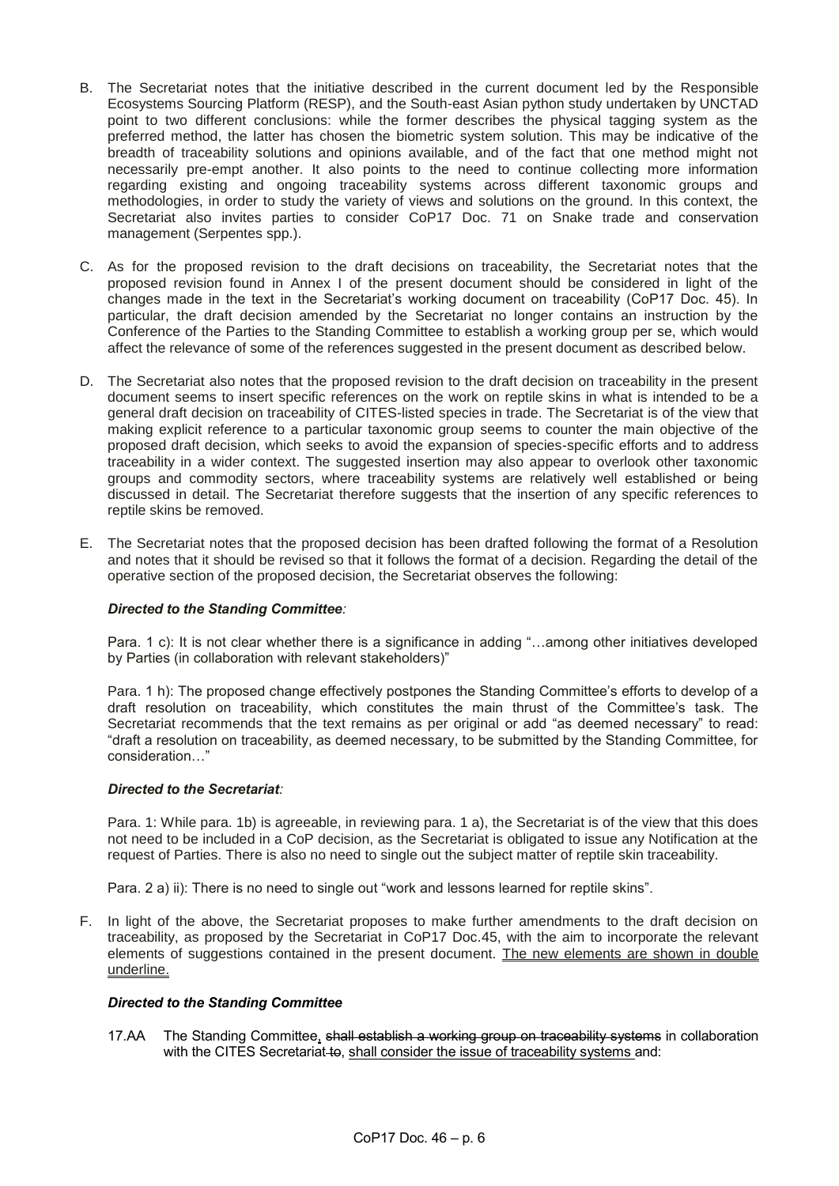- B. The Secretariat notes that the initiative described in the current document led by the Responsible Ecosystems Sourcing Platform (RESP), and the South-east Asian python study undertaken by UNCTAD point to two different conclusions: while the former describes the physical tagging system as the preferred method, the latter has chosen the biometric system solution. This may be indicative of the breadth of traceability solutions and opinions available, and of the fact that one method might not necessarily pre-empt another. It also points to the need to continue collecting more information regarding existing and ongoing traceability systems across different taxonomic groups and methodologies, in order to study the variety of views and solutions on the ground. In this context, the Secretariat also invites parties to consider CoP17 Doc. 71 on Snake trade and conservation management (Serpentes spp.).
- C. As for the proposed revision to the draft decisions on traceability, the Secretariat notes that the proposed revision found in Annex I of the present document should be considered in light of the changes made in the text in the Secretariat's working document on traceability (CoP17 Doc. 45). In particular, the draft decision amended by the Secretariat no longer contains an instruction by the Conference of the Parties to the Standing Committee to establish a working group per se, which would affect the relevance of some of the references suggested in the present document as described below.
- D. The Secretariat also notes that the proposed revision to the draft decision on traceability in the present document seems to insert specific references on the work on reptile skins in what is intended to be a general draft decision on traceability of CITES-listed species in trade. The Secretariat is of the view that making explicit reference to a particular taxonomic group seems to counter the main objective of the proposed draft decision, which seeks to avoid the expansion of species-specific efforts and to address traceability in a wider context. The suggested insertion may also appear to overlook other taxonomic groups and commodity sectors, where traceability systems are relatively well established or being discussed in detail. The Secretariat therefore suggests that the insertion of any specific references to reptile skins be removed.
- E. The Secretariat notes that the proposed decision has been drafted following the format of a Resolution and notes that it should be revised so that it follows the format of a decision. Regarding the detail of the operative section of the proposed decision, the Secretariat observes the following:

### *Directed to the Standing Committee:*

Para. 1 c): It is not clear whether there is a significance in adding "…among other initiatives developed by Parties (in collaboration with relevant stakeholders)"

Para. 1 h): The proposed change effectively postpones the Standing Committee's efforts to develop of a draft resolution on traceability, which constitutes the main thrust of the Committee's task. The Secretariat recommends that the text remains as per original or add "as deemed necessary" to read: "draft a resolution on traceability, as deemed necessary, to be submitted by the Standing Committee, for consideration…"

### *Directed to the Secretariat:*

Para. 1: While para. 1b) is agreeable, in reviewing para. 1 a), the Secretariat is of the view that this does not need to be included in a CoP decision, as the Secretariat is obligated to issue any Notification at the request of Parties. There is also no need to single out the subject matter of reptile skin traceability.

Para. 2 a) ii): There is no need to single out "work and lessons learned for reptile skins".

F. In light of the above, the Secretariat proposes to make further amendments to the draft decision on traceability, as proposed by the Secretariat in CoP17 Doc.45, with the aim to incorporate the relevant elements of suggestions contained in the present document. The new elements are shown in double underline.

# *Directed to the Standing Committee*

17.AA The Standing Committee, shall establish a working group on traceability systems in collaboration with the CITES Secretariat to, shall consider the issue of traceability systems and: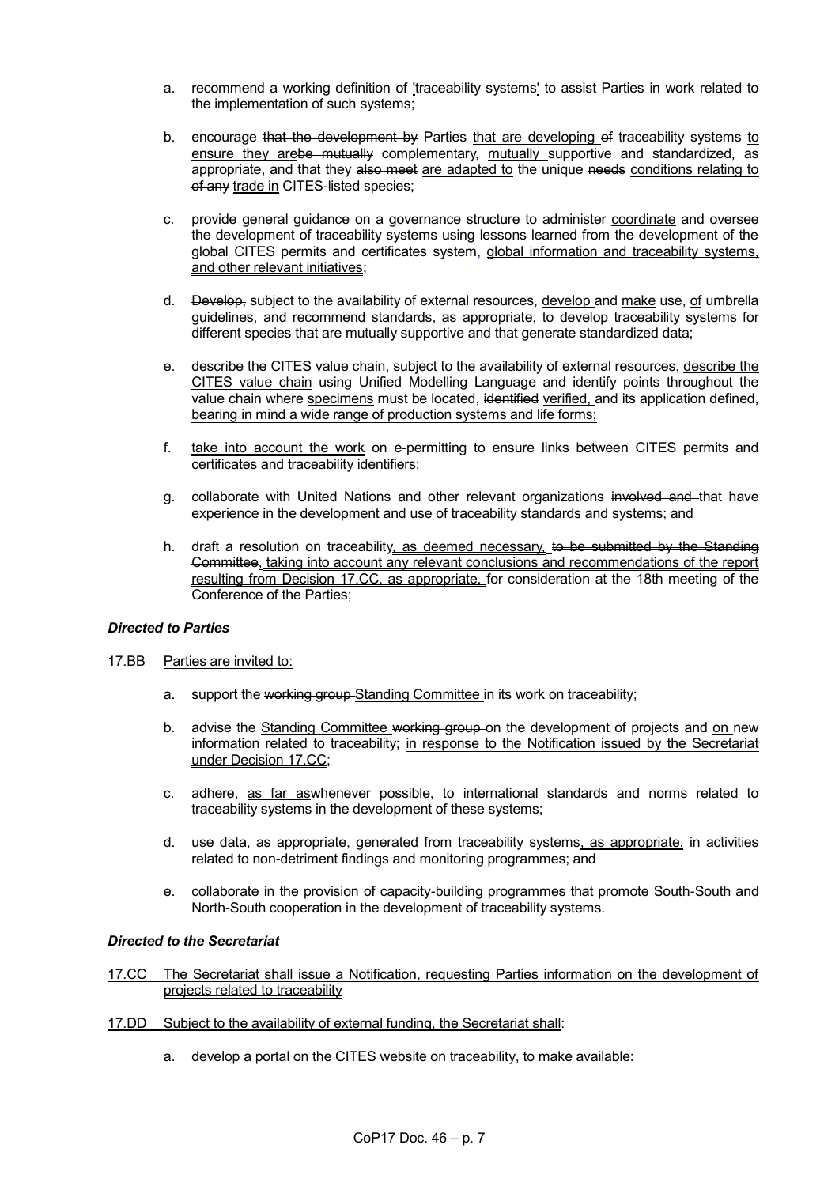- a. recommend a working definition of 'traceability systems' to assist Parties in work related to the implementation of such systems;
- b. encourage that the development by Parties that are developing of traceability systems to ensure they arebe mutually complementary, mutually supportive and standardized, as appropriate, and that they also meet are adapted to the unique needs conditions relating to of any trade in CITES-listed species;
- c. provide general guidance on a governance structure to administer-coordinate and oversee the development of traceability systems using lessons learned from the development of the global CITES permits and certificates system, global information and traceability systems, and other relevant initiatives;
- d. Develop, subject to the availability of external resources, develop and make use, of umbrella guidelines, and recommend standards, as appropriate, to develop traceability systems for different species that are mutually supportive and that generate standardized data;
- e. describe the CITES value chain, subject to the availability of external resources, describe the CITES value chain using Unified Modelling Language and identify points throughout the value chain where specimens must be located, identified verified, and its application defined, bearing in mind a wide range of production systems and life forms;
- f. take into account the work on e-permitting to ensure links between CITES permits and certificates and traceability identifiers;
- g. collaborate with United Nations and other relevant organizations involved and that have experience in the development and use of traceability standards and systems; and
- h. draft a resolution on traceability, as deemed necessary, to be submitted by the Standing Committee, taking into account any relevant conclusions and recommendations of the report resulting from Decision 17.CC, as appropriate, for consideration at the 18th meeting of the Conference of the Parties;

# *Directed to Parties*

- 17.BB Parties are invited to:
	- a. support the working group Standing Committee in its work on traceability;
	- b. advise the Standing Committee working group on the development of projects and on new information related to traceability; in response to the Notification issued by the Secretariat under Decision 17.CC;
	- c. adhere, as far aswhenever possible, to international standards and norms related to traceability systems in the development of these systems;
	- d. use data, as appropriate, generated from traceability systems, as appropriate, in activities related to non-detriment findings and monitoring programmes; and
	- e. collaborate in the provision of capacity-building programmes that promote South-South and North-South cooperation in the development of traceability systems.

# *Directed to the Secretariat*

- 17.CC The Secretariat shall issue a Notification, requesting Parties information on the development of projects related to traceability
- 17.DD Subject to the availability of external funding, the Secretariat shall:
	- a. develop a portal on the CITES website on traceability, to make available: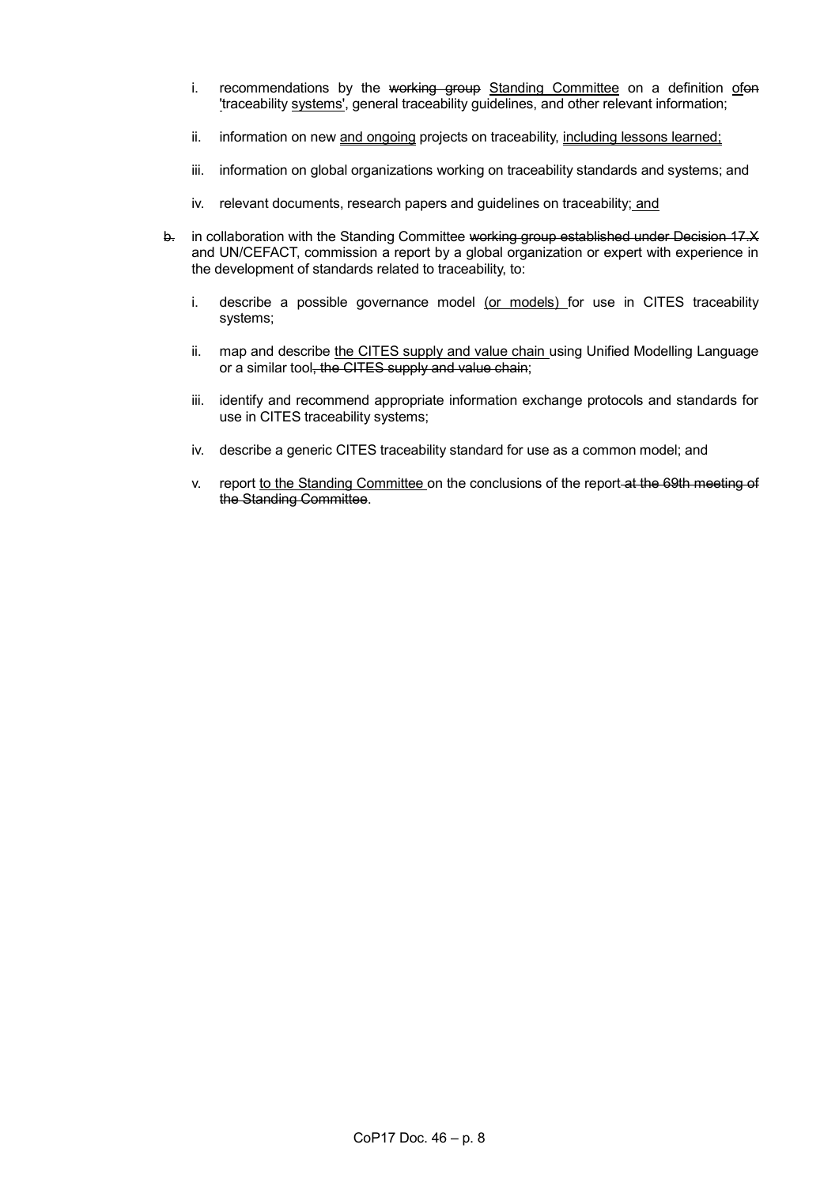- i. recommendations by the working group Standing Committee on a definition ofon 'traceability systems', general traceability guidelines, and other relevant information;
- ii. information on new and ongoing projects on traceability, including lessons learned;
- iii. information on global organizations working on traceability standards and systems; and
- iv. relevant documents, research papers and guidelines on traceability; and
- b. in collaboration with the Standing Committee working group established under Decision 17.X and UN/CEFACT, commission a report by a global organization or expert with experience in the development of standards related to traceability, to:
	- i. describe a possible governance model (or models) for use in CITES traceability systems;
	- ii. map and describe the CITES supply and value chain using Unified Modelling Language or a similar tool, the CITES supply and value chain;
	- iii. identify and recommend appropriate information exchange protocols and standards for use in CITES traceability systems;
	- iv. describe a generic CITES traceability standard for use as a common model; and
	- v. report to the Standing Committee on the conclusions of the report-at the 69th meeting of the Standing Committee.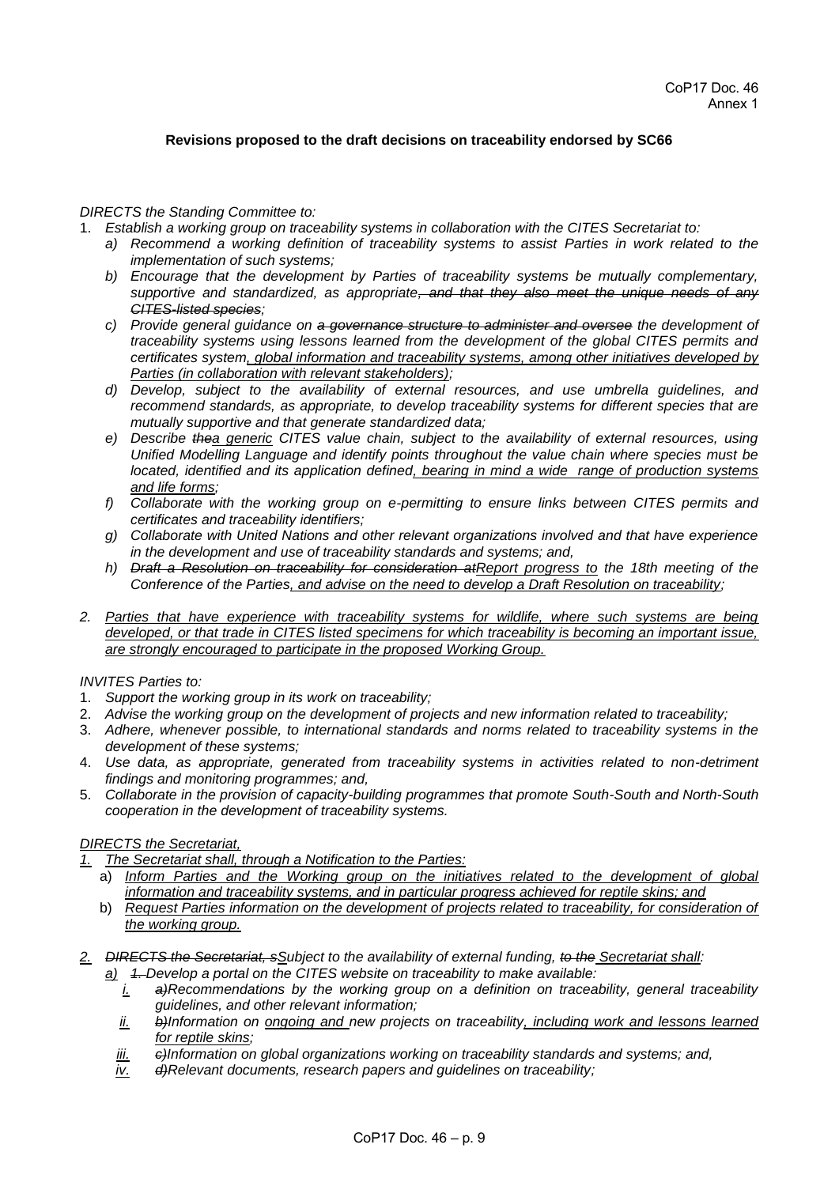# **Revisions proposed to the draft decisions on traceability endorsed by SC66**

### *DIRECTS the Standing Committee to:*

- 1. *Establish a working group on traceability systems in collaboration with the CITES Secretariat to:*
	- *a) Recommend a working definition of traceability systems to assist Parties in work related to the implementation of such systems;*
	- *b) Encourage that the development by Parties of traceability systems be mutually complementary, supportive and standardized, as appropriate, and that they also meet the unique needs of any CITES-listed species;*
	- *c) Provide general guidance on a governance structure to administer and oversee the development of traceability systems using lessons learned from the development of the global CITES permits and certificates system, global information and traceability systems, among other initiatives developed by Parties (in collaboration with relevant stakeholders);*
	- *d) Develop, subject to the availability of external resources, and use umbrella guidelines, and recommend standards, as appropriate, to develop traceability systems for different species that are mutually supportive and that generate standardized data;*
	- *e) Describe thea generic CITES value chain, subject to the availability of external resources, using Unified Modelling Language and identify points throughout the value chain where species must be located, identified and its application defined, bearing in mind a wide range of production systems and life forms;*
	- *f) Collaborate with the working group on e-permitting to ensure links between CITES permits and certificates and traceability identifiers;*
	- *g) Collaborate with United Nations and other relevant organizations involved and that have experience in the development and use of traceability standards and systems; and,*
	- *h) Draft a Resolution on traceability for consideration atReport progress to the 18th meeting of the Conference of the Parties, and advise on the need to develop a Draft Resolution on traceability;*
- *2. Parties that have experience with traceability systems for wildlife, where such systems are being developed, or that trade in CITES listed specimens for which traceability is becoming an important issue, are strongly encouraged to participate in the proposed Working Group.*

### *INVITES Parties to:*

- 1. *Support the working group in its work on traceability;*
- 2. *Advise the working group on the development of projects and new information related to traceability;*
- 3. *Adhere, whenever possible, to international standards and norms related to traceability systems in the development of these systems;*
- 4. *Use data, as appropriate, generated from traceability systems in activities related to non-detriment findings and monitoring programmes; and,*
- 5. *Collaborate in the provision of capacity-building programmes that promote South-South and North-South cooperation in the development of traceability systems.*

# *DIRECTS the Secretariat,*

- *1. The Secretariat shall, through a Notification to the Parties:* 
	- a) *Inform Parties and the Working group on the initiatives related to the development of global information and traceability systems, and in particular progress achieved for reptile skins; and*
	- b) *Request Parties information on the development of projects related to traceability, for consideration of the working group.*
- *2. DIRECTS the Secretariat, sSubject to the availability of external funding, to the Secretariat shall:*
	- *a) 1. Develop a portal on the CITES website on traceability to make available:*
		- *i. a)Recommendations by the working group on a definition on traceability, general traceability guidelines, and other relevant information;*
		- *ii. b)Information on ongoing and new projects on traceability, including work and lessons learned for reptile skins;*
		- *iii. c)Information on global organizations working on traceability standards and systems; and,*
		- *iv. d)Relevant documents, research papers and guidelines on traceability;*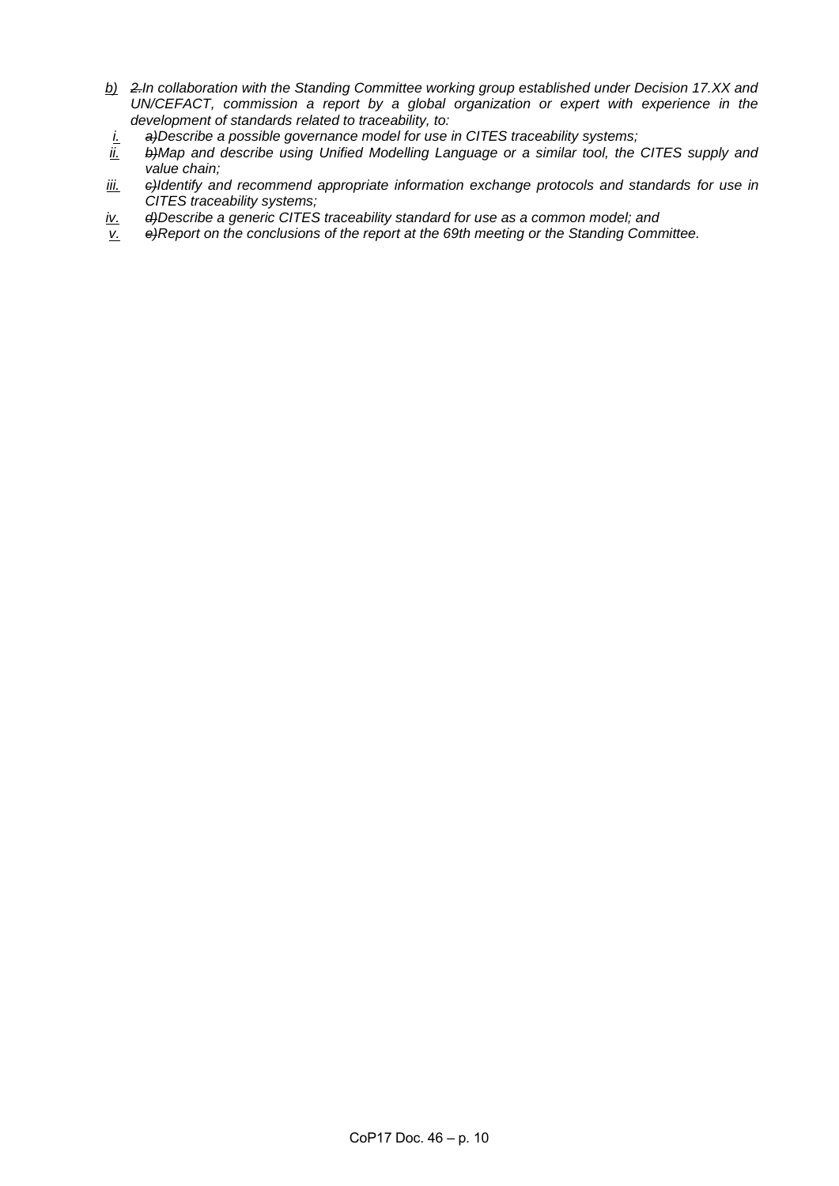- *b) 2.In collaboration with the Standing Committee working group established under Decision 17.XX and UN/CEFACT, commission a report by a global organization or expert with experience in the development of standards related to traceability, to:*
- *i. a)Describe a possible governance model for use in CITES traceability systems;*
- b)Map and describe using Unified Modelling Language or a similar tool, the CITES supply and *value chain;*
- *iii. c)Identify and recommend appropriate information exchange protocols and standards for use in CITES traceability systems;*
- *iv. d)Describe a generic CITES traceability standard for use as a common model; and*
- *v. e)Report on the conclusions of the report at the 69th meeting or the Standing Committee.*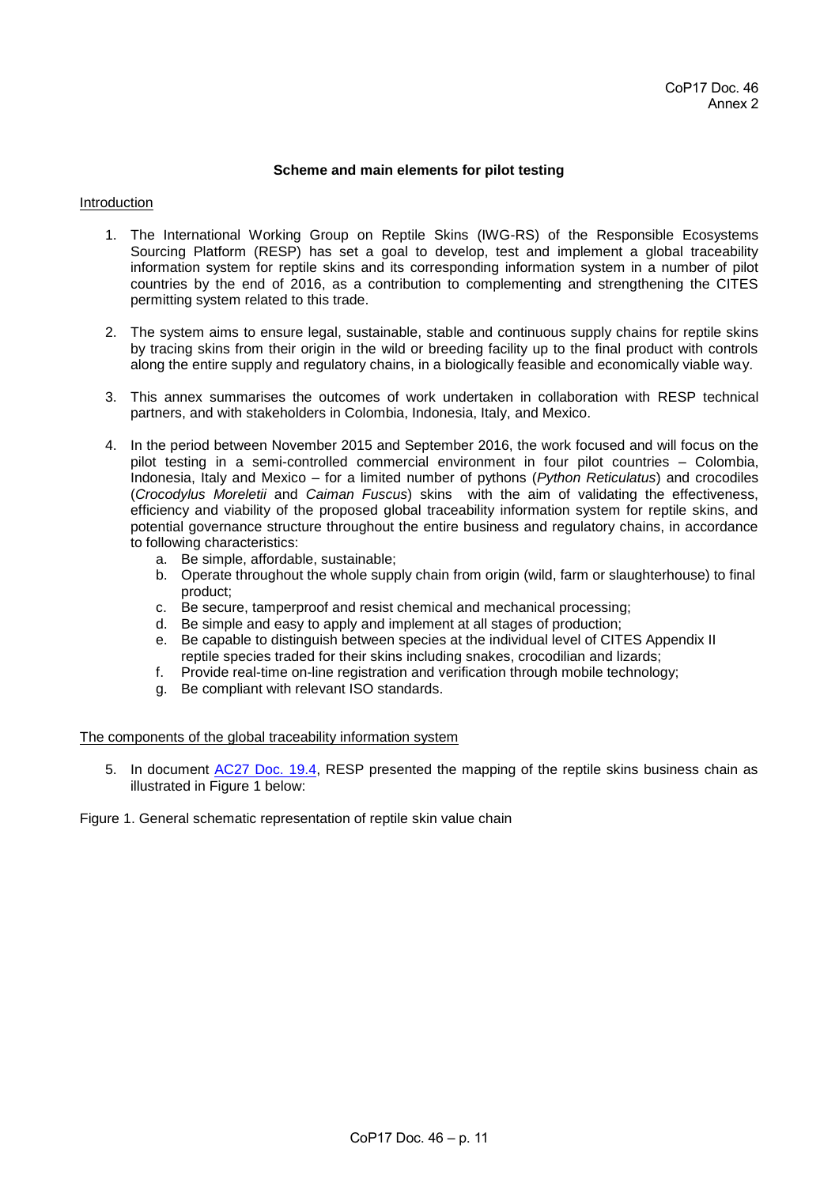### **Scheme and main elements for pilot testing**

### Introduction

- 1. The International Working Group on Reptile Skins (IWG-RS) of the Responsible Ecosystems Sourcing Platform (RESP) has set a goal to develop, test and implement a global traceability information system for reptile skins and its corresponding information system in a number of pilot countries by the end of 2016, as a contribution to complementing and strengthening the CITES permitting system related to this trade.
- 2. The system aims to ensure legal, sustainable, stable and continuous supply chains for reptile skins by tracing skins from their origin in the wild or breeding facility up to the final product with controls along the entire supply and regulatory chains, in a biologically feasible and economically viable way.
- 3. This annex summarises the outcomes of work undertaken in collaboration with RESP technical partners, and with stakeholders in Colombia, Indonesia, Italy, and Mexico.
- 4. In the period between November 2015 and September 2016, the work focused and will focus on the pilot testing in a semi-controlled commercial environment in four pilot countries – Colombia, Indonesia, Italy and Mexico – for a limited number of pythons (*Python Reticulatus*) and crocodiles (*Crocodylus Moreletii* and *Caiman Fuscus*) skins with the aim of validating the effectiveness, efficiency and viability of the proposed global traceability information system for reptile skins, and potential governance structure throughout the entire business and regulatory chains, in accordance to following characteristics:
	- a. Be simple, affordable, sustainable;
	- b. Operate throughout the whole supply chain from origin (wild, farm or slaughterhouse) to final product;
	- c. Be secure, tamperproof and resist chemical and mechanical processing;
	- d. Be simple and easy to apply and implement at all stages of production;
	- e. Be capable to distinguish between species at the individual level of CITES Appendix II reptile species traded for their skins including snakes, crocodilian and lizards;
	- f. Provide real-time on-line registration and verification through mobile technology;
	- g. Be compliant with relevant ISO standards.

### The components of the global traceability information system

5. In document [AC27 Doc. 19.4,](https://cites.org/sites/default/files/eng/com/ac/27/E-AC27-19-04.pdf) RESP presented the mapping of the reptile skins business chain as illustrated in Figure 1 below:

Figure 1. General schematic representation of reptile skin value chain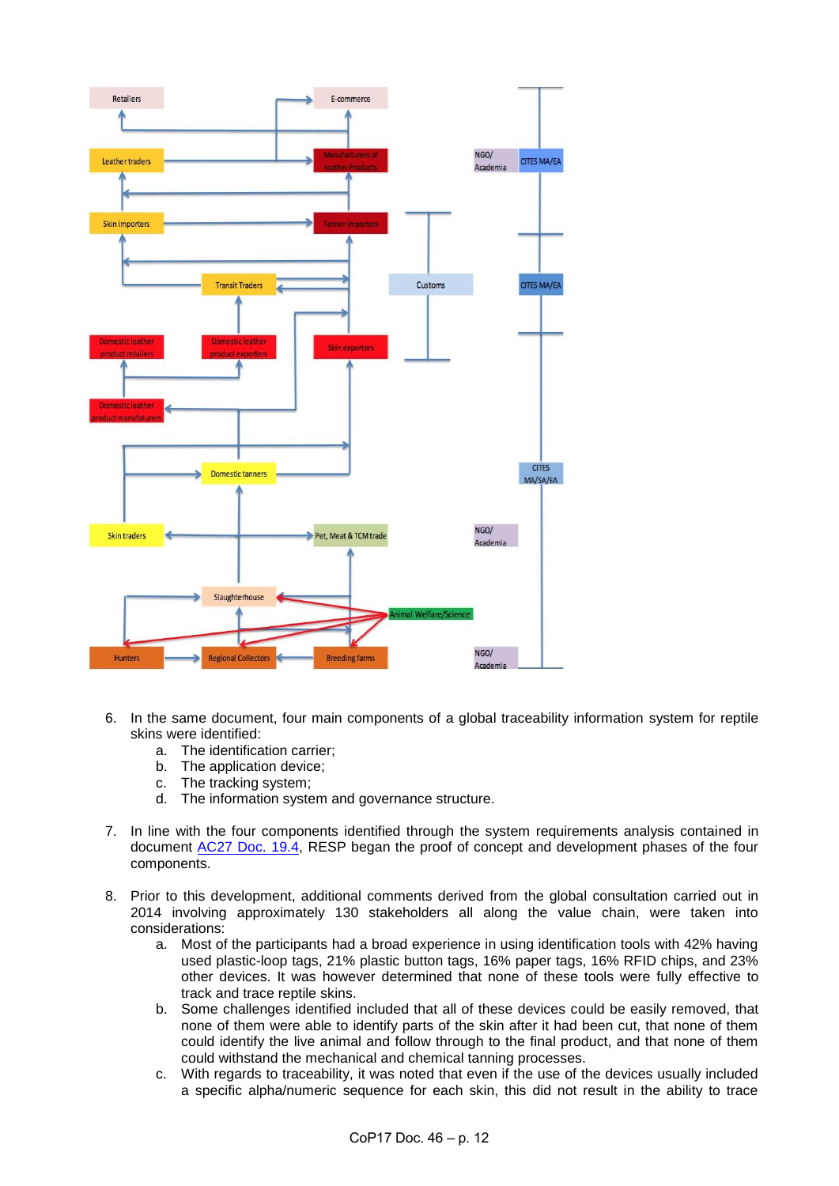

- 6. In the same document, four main components of a global traceability information system for reptile skins were identified:
	- a. The identification carrier;<br>b. The application device:
	- The application device;
	- c. The tracking system;
	- d. The information system and governance structure.
- 7. In line with the four components identified through the system requirements analysis contained in document [AC27 Doc. 19.4,](https://cites.org/sites/default/files/eng/com/ac/27/E-AC27-19-04.pdf) RESP began the proof of concept and development phases of the four components.
- 8. Prior to this development, additional comments derived from the global consultation carried out in 2014 involving approximately 130 stakeholders all along the value chain, were taken into considerations:
	- a. Most of the participants had a broad experience in using identification tools with 42% having used plastic-loop tags, 21% plastic button tags, 16% paper tags, 16% RFID chips, and 23% other devices. It was however determined that none of these tools were fully effective to track and trace reptile skins.
	- b. Some challenges identified included that all of these devices could be easily removed, that none of them were able to identify parts of the skin after it had been cut, that none of them could identify the live animal and follow through to the final product, and that none of them could withstand the mechanical and chemical tanning processes.
	- c. With regards to traceability, it was noted that even if the use of the devices usually included a specific alpha/numeric sequence for each skin, this did not result in the ability to trace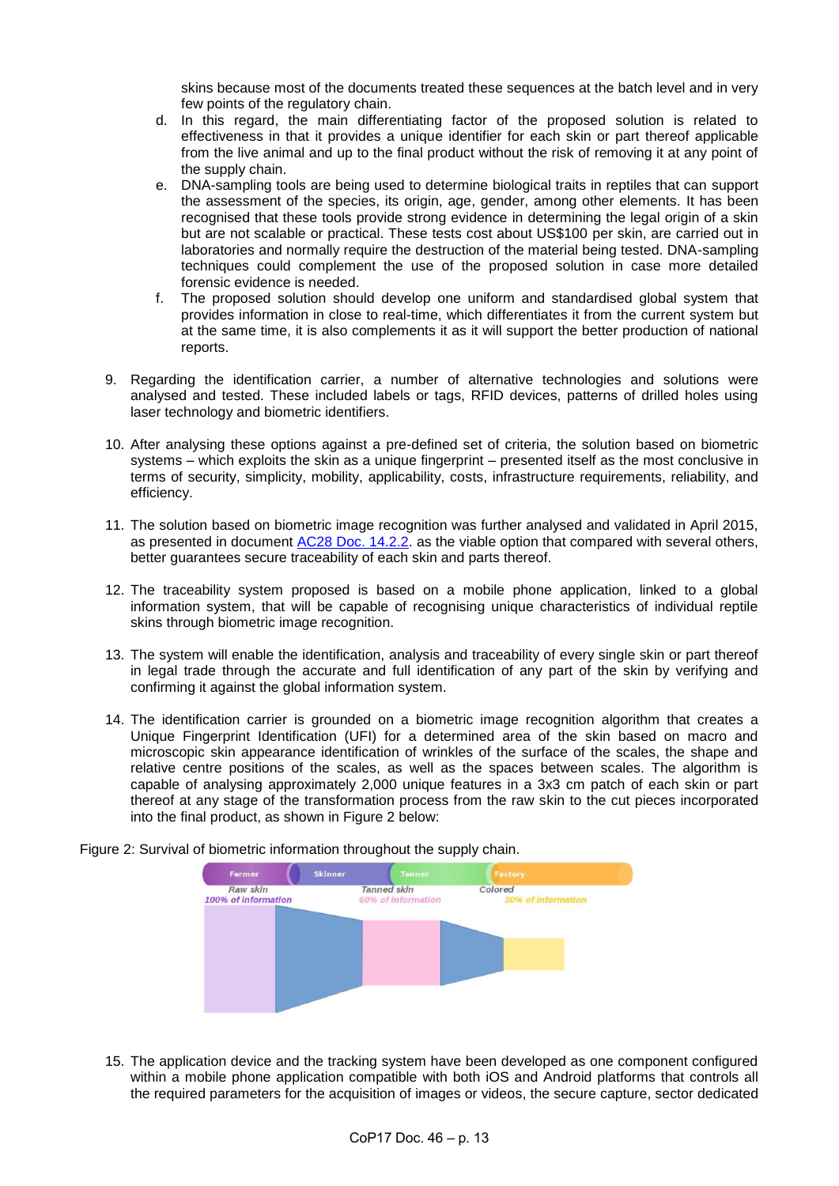skins because most of the documents treated these sequences at the batch level and in very few points of the regulatory chain.

- d. In this regard, the main differentiating factor of the proposed solution is related to effectiveness in that it provides a unique identifier for each skin or part thereof applicable from the live animal and up to the final product without the risk of removing it at any point of the supply chain.
- e. DNA-sampling tools are being used to determine biological traits in reptiles that can support the assessment of the species, its origin, age, gender, among other elements. It has been recognised that these tools provide strong evidence in determining the legal origin of a skin but are not scalable or practical. These tests cost about US\$100 per skin, are carried out in laboratories and normally require the destruction of the material being tested. DNA-sampling techniques could complement the use of the proposed solution in case more detailed forensic evidence is needed.
- f. The proposed solution should develop one uniform and standardised global system that provides information in close to real-time, which differentiates it from the current system but at the same time, it is also complements it as it will support the better production of national reports.
- 9. Regarding the identification carrier, a number of alternative technologies and solutions were analysed and tested. These included labels or tags, RFID devices, patterns of drilled holes using laser technology and biometric identifiers.
- 10. After analysing these options against a pre-defined set of criteria, the solution based on biometric systems – which exploits the skin as a unique fingerprint – presented itself as the most conclusive in terms of security, simplicity, mobility, applicability, costs, infrastructure requirements, reliability, and efficiency.
- 11. The solution based on biometric image recognition was further analysed and validated in April 2015, as presented in document [AC28 Doc. 14.2.2.](https://cites.org/sites/default/files/eng/com/ac/28/E-AC28-14-02-02Rev.pdf) as the viable option that compared with several others, better guarantees secure traceability of each skin and parts thereof.
- 12. The traceability system proposed is based on a mobile phone application, linked to a global information system, that will be capable of recognising unique characteristics of individual reptile skins through biometric image recognition.
- 13. The system will enable the identification, analysis and traceability of every single skin or part thereof in legal trade through the accurate and full identification of any part of the skin by verifying and confirming it against the global information system.
- 14. The identification carrier is grounded on a biometric image recognition algorithm that creates a Unique Fingerprint Identification (UFI) for a determined area of the skin based on macro and microscopic skin appearance identification of wrinkles of the surface of the scales, the shape and relative centre positions of the scales, as well as the spaces between scales. The algorithm is capable of analysing approximately 2,000 unique features in a 3x3 cm patch of each skin or part thereof at any stage of the transformation process from the raw skin to the cut pieces incorporated into the final product, as shown in Figure 2 below:

Figure 2: Survival of biometric information throughout the supply chain.



15. The application device and the tracking system have been developed as one component configured within a mobile phone application compatible with both iOS and Android platforms that controls all the required parameters for the acquisition of images or videos, the secure capture, sector dedicated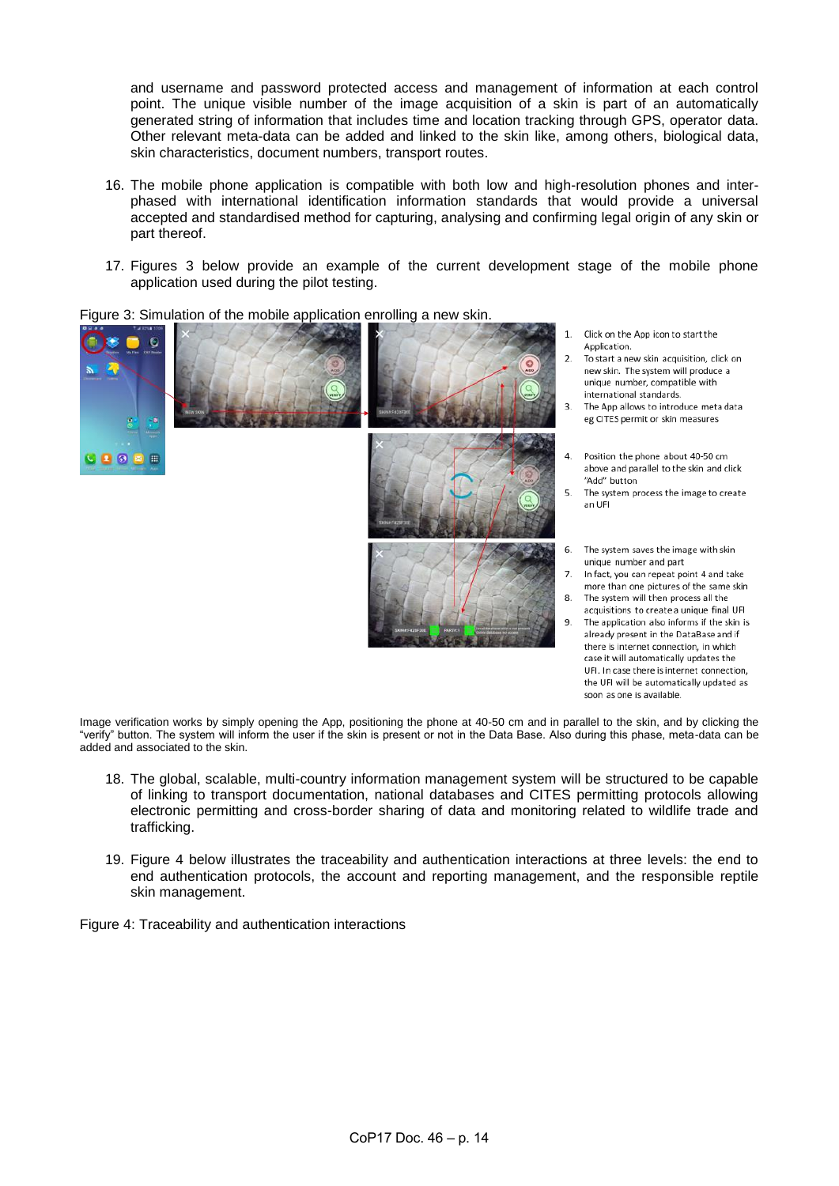and username and password protected access and management of information at each control point. The unique visible number of the image acquisition of a skin is part of an automatically generated string of information that includes time and location tracking through GPS, operator data. Other relevant meta-data can be added and linked to the skin like, among others, biological data, skin characteristics, document numbers, transport routes.

- 16. The mobile phone application is compatible with both low and high-resolution phones and interphased with international identification information standards that would provide a universal accepted and standardised method for capturing, analysing and confirming legal origin of any skin or part thereof.
- 17. Figures 3 below provide an example of the current development stage of the mobile phone application used during the pilot testing.





- Click on the App icon to start the Application.
- $\overline{\phantom{a}}$ To start a new skin acquisition, click on new skin. The system will produce a unique number, compatible with international standards.
- The App allows to introduce meta data eg CITES permit or skin measures
- Position the phone about 40-50 cm above and parallel to the skin and click "Add" button
- 5. The system process the image to create an UFI
- 6 The system saves the image with skin unique number and part
- In fact, you can repeat point 4 and take more than one pictures of the same skin 8 The system will then process all the
- acquisitions to create a unique final UFI  $\mathbf{q}$
- The application also informs if the skin is already present in the DataBase and if there is internet connection, in which case it will automatically updates the UFI. In case there is internet connection, the UFI will be automatically updated as soon as one is available.

Image verification works by simply opening the App, positioning the phone at 40-50 cm and in parallel to the skin, and by clicking the "verify" button. The system will inform the user if the skin is present or not in the Data Base. Also during this phase, meta-data can be added and associated to the skin.

- 18. The global, scalable, multi-country information management system will be structured to be capable of linking to transport documentation, national databases and CITES permitting protocols allowing electronic permitting and cross-border sharing of data and monitoring related to wildlife trade and trafficking.
- 19. Figure 4 below illustrates the traceability and authentication interactions at three levels: the end to end authentication protocols, the account and reporting management, and the responsible reptile skin management.

Figure 4: Traceability and authentication interactions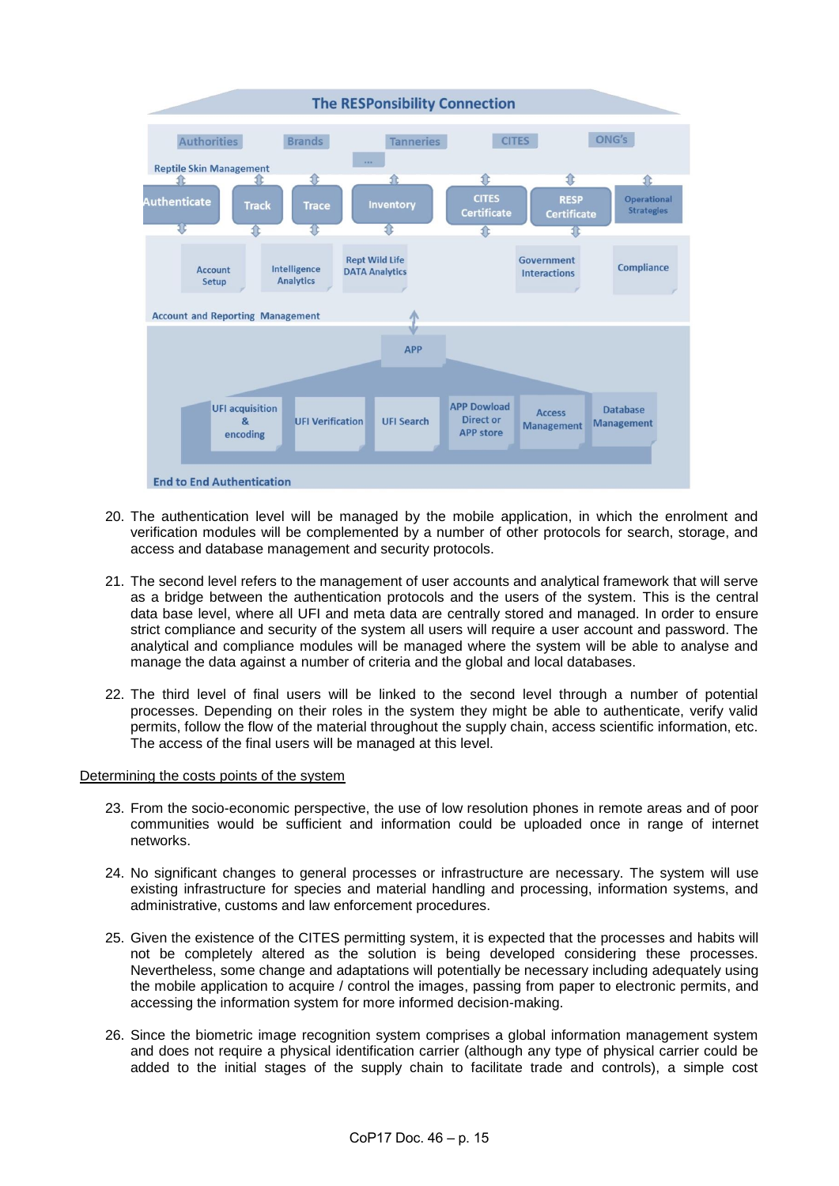

- 20. The authentication level will be managed by the mobile application, in which the enrolment and verification modules will be complemented by a number of other protocols for search, storage, and access and database management and security protocols.
- 21. The second level refers to the management of user accounts and analytical framework that will serve as a bridge between the authentication protocols and the users of the system. This is the central data base level, where all UFI and meta data are centrally stored and managed. In order to ensure strict compliance and security of the system all users will require a user account and password. The analytical and compliance modules will be managed where the system will be able to analyse and manage the data against a number of criteria and the global and local databases.
- 22. The third level of final users will be linked to the second level through a number of potential processes. Depending on their roles in the system they might be able to authenticate, verify valid permits, follow the flow of the material throughout the supply chain, access scientific information, etc. The access of the final users will be managed at this level.

### Determining the costs points of the system

- 23. From the socio-economic perspective, the use of low resolution phones in remote areas and of poor communities would be sufficient and information could be uploaded once in range of internet networks.
- 24. No significant changes to general processes or infrastructure are necessary. The system will use existing infrastructure for species and material handling and processing, information systems, and administrative, customs and law enforcement procedures.
- 25. Given the existence of the CITES permitting system, it is expected that the processes and habits will not be completely altered as the solution is being developed considering these processes. Nevertheless, some change and adaptations will potentially be necessary including adequately using the mobile application to acquire / control the images, passing from paper to electronic permits, and accessing the information system for more informed decision-making.
- 26. Since the biometric image recognition system comprises a global information management system and does not require a physical identification carrier (although any type of physical carrier could be added to the initial stages of the supply chain to facilitate trade and controls), a simple cost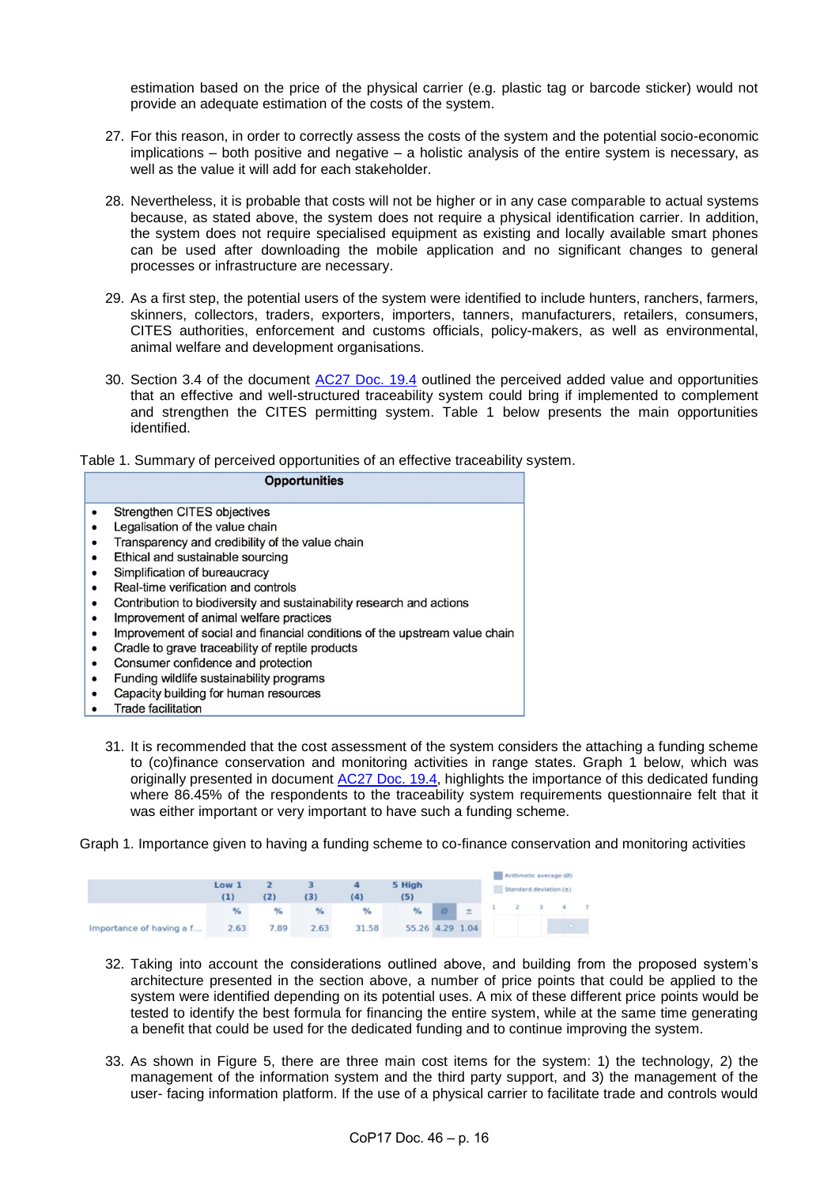estimation based on the price of the physical carrier (e.g. plastic tag or barcode sticker) would not provide an adequate estimation of the costs of the system.

- 27. For this reason, in order to correctly assess the costs of the system and the potential socio-economic implications – both positive and negative – a holistic analysis of the entire system is necessary, as well as the value it will add for each stakeholder.
- 28. Nevertheless, it is probable that costs will not be higher or in any case comparable to actual systems because, as stated above, the system does not require a physical identification carrier. In addition, the system does not require specialised equipment as existing and locally available smart phones can be used after downloading the mobile application and no significant changes to general processes or infrastructure are necessary.
- 29. As a first step, the potential users of the system were identified to include hunters, ranchers, farmers, skinners, collectors, traders, exporters, importers, tanners, manufacturers, retailers, consumers, CITES authorities, enforcement and customs officials, policy-makers, as well as environmental, animal welfare and development organisations.
- 30. Section 3.4 of the document [AC27 Doc. 19.4](https://cites.org/sites/default/files/eng/com/ac/27/E-AC27-19-04.pdf) outlined the perceived added value and opportunities that an effective and well-structured traceability system could bring if implemented to complement and strengthen the CITES permitting system. Table 1 below presents the main opportunities identified.

Table 1. Summary of perceived opportunities of an effective traceability system.

| <b>Opportunities</b>                                                                                                                                                                                                                                                                                                                                                                                                                                                                                                     |
|--------------------------------------------------------------------------------------------------------------------------------------------------------------------------------------------------------------------------------------------------------------------------------------------------------------------------------------------------------------------------------------------------------------------------------------------------------------------------------------------------------------------------|
| Strengthen CITES objectives<br>Legalisation of the value chain<br>Transparency and credibility of the value chain<br>Ethical and sustainable sourcing<br>Simplification of bureaucracy<br>Real-time verification and controls<br>Contribution to biodiversity and sustainability research and actions<br>Improvement of animal welfare practices<br>Improvement of social and financial conditions of the upstream value chain<br>Cradle to grave traceability of reptile products<br>Consumer confidence and protection |
| Funding wildlife sustainability programs<br>Capacity building for human resources<br><b>Trade facilitation</b>                                                                                                                                                                                                                                                                                                                                                                                                           |
|                                                                                                                                                                                                                                                                                                                                                                                                                                                                                                                          |

31. It is recommended that the cost assessment of the system considers the attaching a funding scheme to (co)finance conservation and monitoring activities in range states. Graph 1 below, which was originally presented in document [AC27 Doc. 19.4,](https://cites.org/sites/default/files/eng/com/ac/27/E-AC27-19-04.pdf) highlights the importance of this dedicated funding where 86.45% of the respondents to the traceability system requirements questionnaire felt that it was either important or very important to have such a funding scheme.

Graph 1. Importance given to having a funding scheme to co-finance conservation and monitoring activities

|                          | Low 1<br>(1) | (2)  | (3)  | (4)   | 5 High<br>(5)   |   | Arithmetic average (Ø)<br>Standard deviation (±) |  |  |  |  |  |
|--------------------------|--------------|------|------|-------|-----------------|---|--------------------------------------------------|--|--|--|--|--|
|                          | %            | %    | %    | %     | $\frac{9}{6}$   | 注 |                                                  |  |  |  |  |  |
| Importance of having a f | 2.63         | 7.89 | 2.63 | 31.58 | 55.26 4.29 1.04 |   |                                                  |  |  |  |  |  |

- 32. Taking into account the considerations outlined above, and building from the proposed system's architecture presented in the section above, a number of price points that could be applied to the system were identified depending on its potential uses. A mix of these different price points would be tested to identify the best formula for financing the entire system, while at the same time generating a benefit that could be used for the dedicated funding and to continue improving the system.
- 33. As shown in Figure 5, there are three main cost items for the system: 1) the technology, 2) the management of the information system and the third party support, and 3) the management of the user- facing information platform. If the use of a physical carrier to facilitate trade and controls would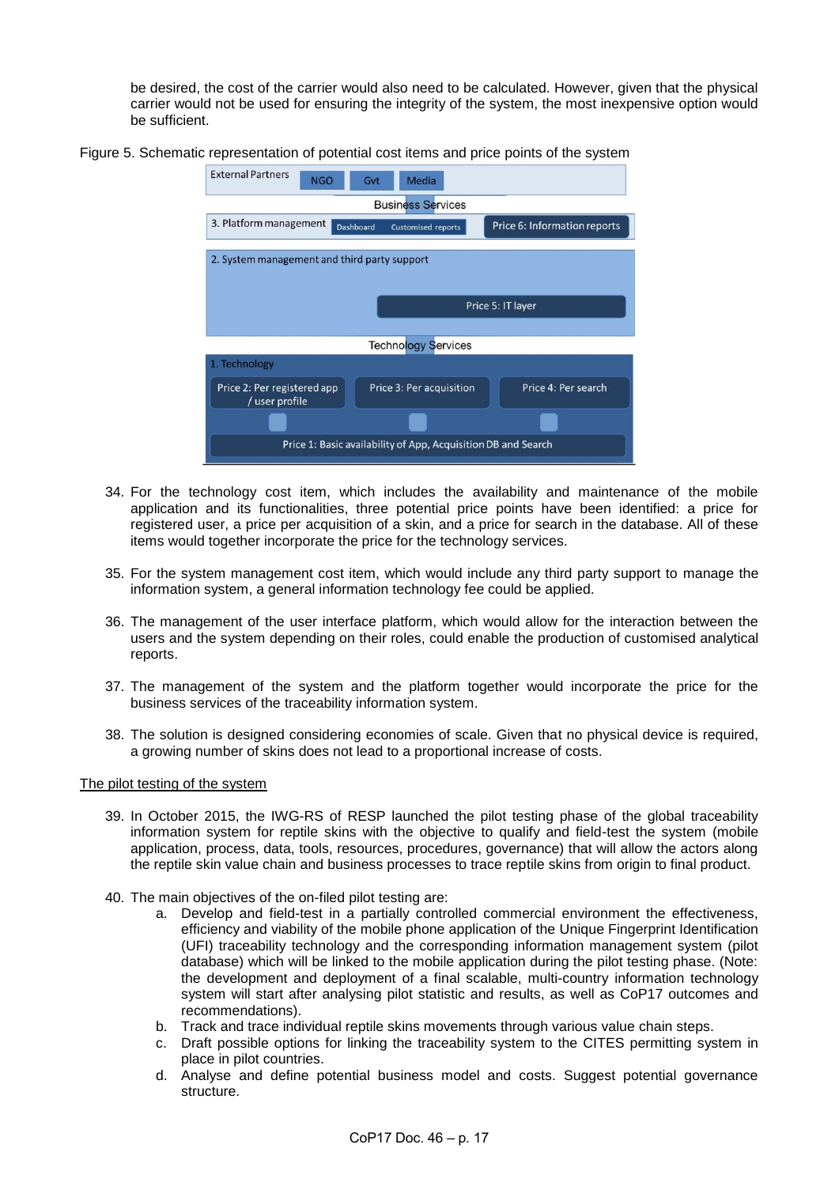be desired, the cost of the carrier would also need to be calculated. However, given that the physical carrier would not be used for ensuring the integrity of the system, the most inexpensive option would be sufficient.

Figure 5. Schematic representation of potential cost items and price points of the system



- 34. For the technology cost item, which includes the availability and maintenance of the mobile application and its functionalities, three potential price points have been identified: a price for registered user, a price per acquisition of a skin, and a price for search in the database. All of these items would together incorporate the price for the technology services.
- 35. For the system management cost item, which would include any third party support to manage the information system, a general information technology fee could be applied.
- 36. The management of the user interface platform, which would allow for the interaction between the users and the system depending on their roles, could enable the production of customised analytical reports.
- 37. The management of the system and the platform together would incorporate the price for the business services of the traceability information system.
- 38. The solution is designed considering economies of scale. Given that no physical device is required, a growing number of skins does not lead to a proportional increase of costs.

### The pilot testing of the system

- 39. In October 2015, the IWG-RS of RESP launched the pilot testing phase of the global traceability information system for reptile skins with the objective to qualify and field-test the system (mobile application, process, data, tools, resources, procedures, governance) that will allow the actors along the reptile skin value chain and business processes to trace reptile skins from origin to final product.
- 40. The main objectives of the on-filed pilot testing are:
	- a. Develop and field-test in a partially controlled commercial environment the effectiveness, efficiency and viability of the mobile phone application of the Unique Fingerprint Identification (UFI) traceability technology and the corresponding information management system (pilot database) which will be linked to the mobile application during the pilot testing phase. (Note: the development and deployment of a final scalable, multi-country information technology system will start after analysing pilot statistic and results, as well as CoP17 outcomes and recommendations).
	- b. Track and trace individual reptile skins movements through various value chain steps.
	- c. Draft possible options for linking the traceability system to the CITES permitting system in place in pilot countries.
	- d. Analyse and define potential business model and costs. Suggest potential governance structure.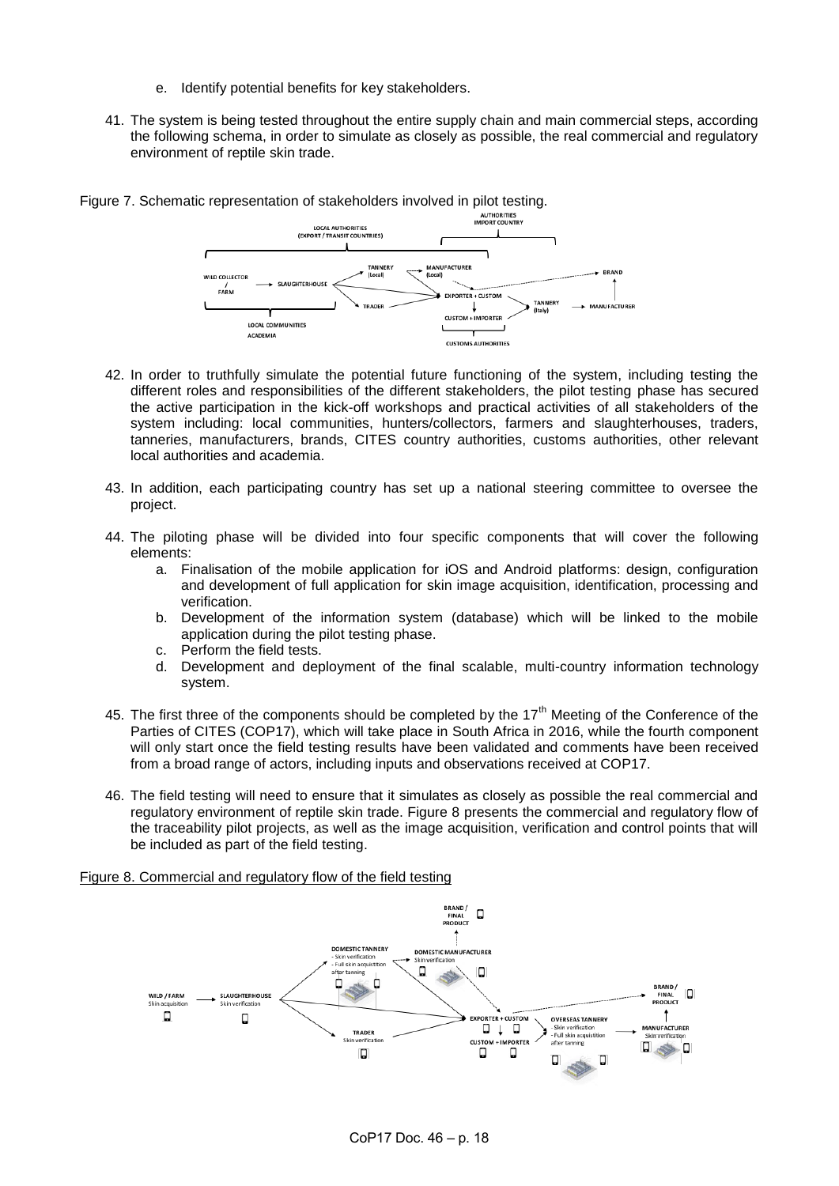- e. Identify potential benefits for key stakeholders.
- 41. The system is being tested throughout the entire supply chain and main commercial steps, according the following schema, in order to simulate as closely as possible, the real commercial and regulatory environment of reptile skin trade.



- 42. In order to truthfully simulate the potential future functioning of the system, including testing the different roles and responsibilities of the different stakeholders, the pilot testing phase has secured the active participation in the kick-off workshops and practical activities of all stakeholders of the system including: local communities, hunters/collectors, farmers and slaughterhouses, traders, tanneries, manufacturers, brands, CITES country authorities, customs authorities, other relevant local authorities and academia.
- 43. In addition, each participating country has set up a national steering committee to oversee the project.
- 44. The piloting phase will be divided into four specific components that will cover the following elements:
	- a. Finalisation of the mobile application for iOS and Android platforms: design, configuration and development of full application for skin image acquisition, identification, processing and verification.
	- b. Development of the information system (database) which will be linked to the mobile application during the pilot testing phase.
	- c. Perform the field tests.
	- d. Development and deployment of the final scalable, multi-country information technology system.
- 45. The first three of the components should be completed by the  $17<sup>th</sup>$  Meeting of the Conference of the Parties of CITES (COP17), which will take place in South Africa in 2016, while the fourth component will only start once the field testing results have been validated and comments have been received from a broad range of actors, including inputs and observations received at COP17.
- 46. The field testing will need to ensure that it simulates as closely as possible the real commercial and regulatory environment of reptile skin trade. Figure 8 presents the commercial and regulatory flow of the traceability pilot projects, as well as the image acquisition, verification and control points that will be included as part of the field testing.

# Figure 8. Commercial and regulatory flow of the field testing

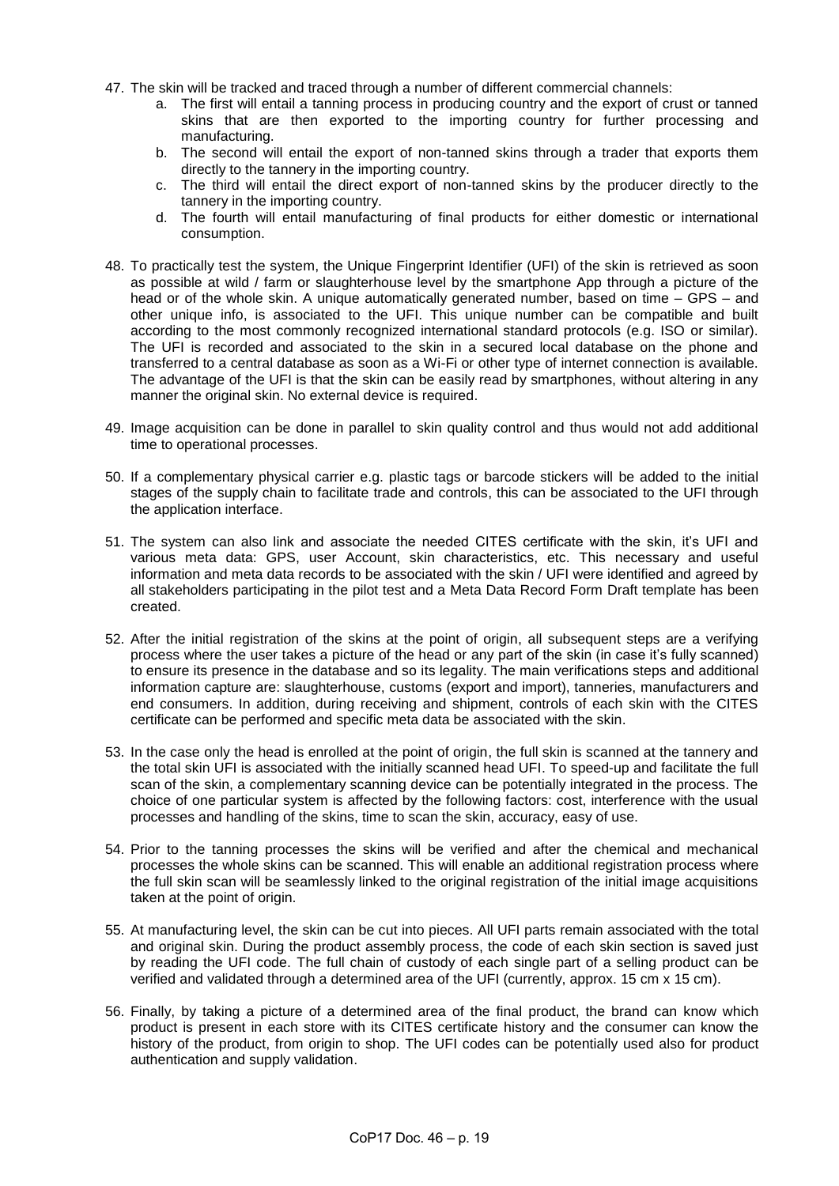- 47. The skin will be tracked and traced through a number of different commercial channels:
	- a. The first will entail a tanning process in producing country and the export of crust or tanned skins that are then exported to the importing country for further processing and manufacturing.
	- b. The second will entail the export of non-tanned skins through a trader that exports them directly to the tannery in the importing country.
	- c. The third will entail the direct export of non-tanned skins by the producer directly to the tannery in the importing country.
	- d. The fourth will entail manufacturing of final products for either domestic or international consumption.
- 48. To practically test the system, the Unique Fingerprint Identifier (UFI) of the skin is retrieved as soon as possible at wild / farm or slaughterhouse level by the smartphone App through a picture of the head or of the whole skin. A unique automatically generated number, based on time – GPS – and other unique info, is associated to the UFI. This unique number can be compatible and built according to the most commonly recognized international standard protocols (e.g. ISO or similar). The UFI is recorded and associated to the skin in a secured local database on the phone and transferred to a central database as soon as a Wi-Fi or other type of internet connection is available. The advantage of the UFI is that the skin can be easily read by smartphones, without altering in any manner the original skin. No external device is required.
- 49. Image acquisition can be done in parallel to skin quality control and thus would not add additional time to operational processes.
- 50. If a complementary physical carrier e.g. plastic tags or barcode stickers will be added to the initial stages of the supply chain to facilitate trade and controls, this can be associated to the UFI through the application interface.
- 51. The system can also link and associate the needed CITES certificate with the skin, it's UFI and various meta data: GPS, user Account, skin characteristics, etc. This necessary and useful information and meta data records to be associated with the skin / UFI were identified and agreed by all stakeholders participating in the pilot test and a Meta Data Record Form Draft template has been created.
- 52. After the initial registration of the skins at the point of origin, all subsequent steps are a verifying process where the user takes a picture of the head or any part of the skin (in case it's fully scanned) to ensure its presence in the database and so its legality. The main verifications steps and additional information capture are: slaughterhouse, customs (export and import), tanneries, manufacturers and end consumers. In addition, during receiving and shipment, controls of each skin with the CITES certificate can be performed and specific meta data be associated with the skin.
- 53. In the case only the head is enrolled at the point of origin, the full skin is scanned at the tannery and the total skin UFI is associated with the initially scanned head UFI. To speed-up and facilitate the full scan of the skin, a complementary scanning device can be potentially integrated in the process. The choice of one particular system is affected by the following factors: cost, interference with the usual processes and handling of the skins, time to scan the skin, accuracy, easy of use.
- 54. Prior to the tanning processes the skins will be verified and after the chemical and mechanical processes the whole skins can be scanned. This will enable an additional registration process where the full skin scan will be seamlessly linked to the original registration of the initial image acquisitions taken at the point of origin.
- 55. At manufacturing level, the skin can be cut into pieces. All UFI parts remain associated with the total and original skin. During the product assembly process, the code of each skin section is saved just by reading the UFI code. The full chain of custody of each single part of a selling product can be verified and validated through a determined area of the UFI (currently, approx. 15 cm x 15 cm).
- 56. Finally, by taking a picture of a determined area of the final product, the brand can know which product is present in each store with its CITES certificate history and the consumer can know the history of the product, from origin to shop. The UFI codes can be potentially used also for product authentication and supply validation.